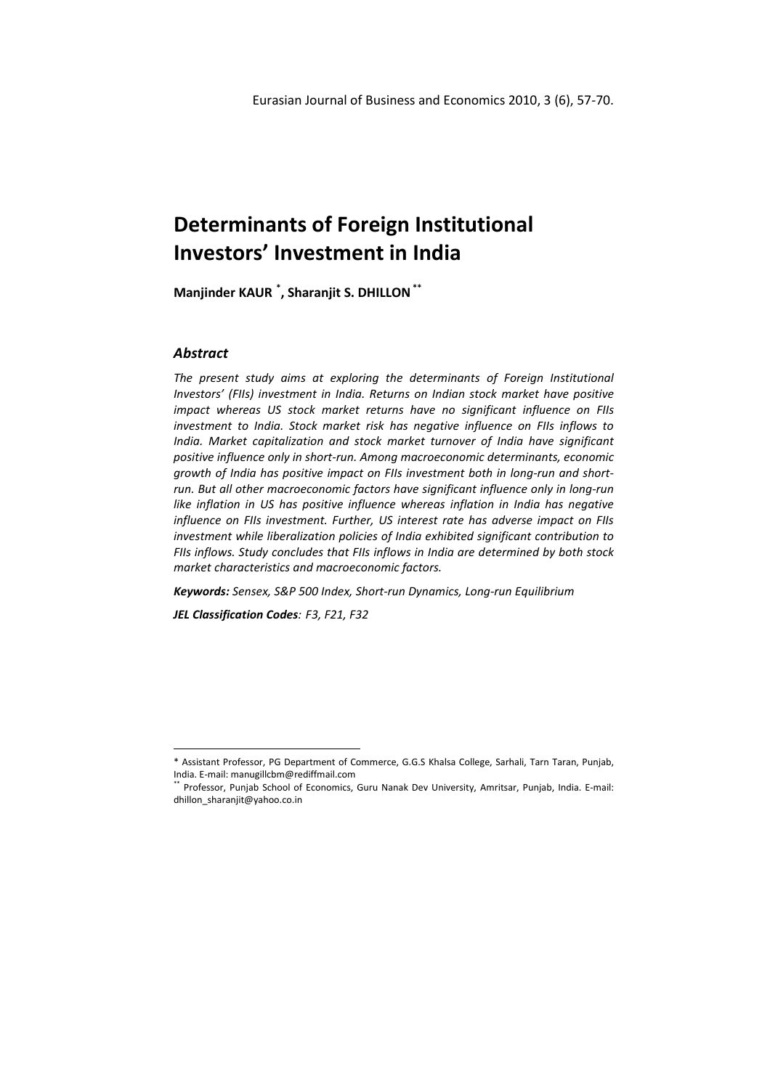Manjinder KAUR \* , Sharanjit S. DHILLON \*\*

## **Abstract**

 $\overline{a}$ 

The present study aims at exploring the determinants of Foreign Institutional Investors' (FIIs) investment in India. Returns on Indian stock market have positive impact whereas US stock market returns have no significant influence on FIIs investment to India. Stock market risk has negative influence on FIIs inflows to India. Market capitalization and stock market turnover of India have significant positive influence only in short-run. Among macroeconomic determinants, economic growth of India has positive impact on FIIs investment both in long-run and shortrun. But all other macroeconomic factors have significant influence only in long-run like inflation in US has positive influence whereas inflation in India has negative influence on FIIs investment. Further, US interest rate has adverse impact on FIIs investment while liberalization policies of India exhibited significant contribution to FIIs inflows. Study concludes that FIIs inflows in India are determined by both stock market characteristics and macroeconomic factors.

Keywords: Sensex, S&P 500 Index, Short-run Dynamics, Long-run Equilibrium

JEL Classification Codes: F3, F21, F32

<sup>\*</sup> Assistant Professor, PG Department of Commerce, G.G.S Khalsa College, Sarhali, Tarn Taran, Punjab, India. E-mail: manugillcbm@rediffmail.com

<sup>\*\*</sup> Professor, Punjab School of Economics, Guru Nanak Dev University, Amritsar, Punjab, India. E-mail: dhillon\_sharanjit@yahoo.co.in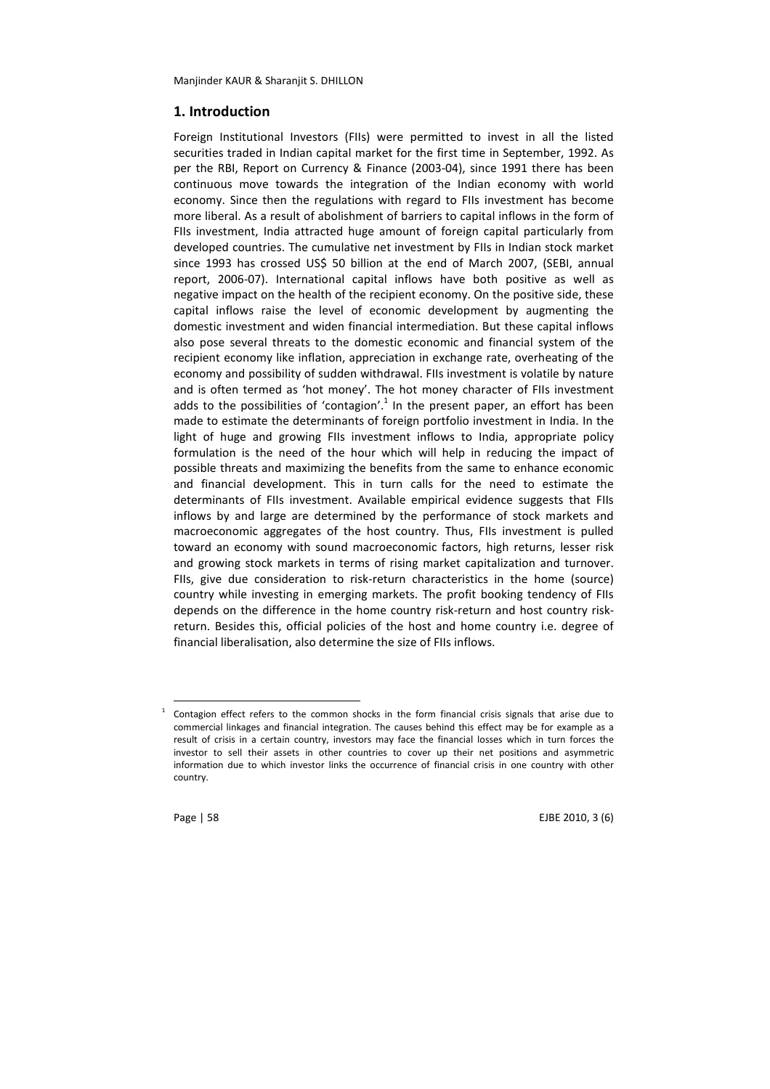## 1. Introduction

Foreign Institutional Investors (FIIs) were permitted to invest in all the listed securities traded in Indian capital market for the first time in September, 1992. As per the RBI, Report on Currency & Finance (2003-04), since 1991 there has been continuous move towards the integration of the Indian economy with world economy. Since then the regulations with regard to FIIs investment has become more liberal. As a result of abolishment of barriers to capital inflows in the form of FIIs investment, India attracted huge amount of foreign capital particularly from developed countries. The cumulative net investment by FIIs in Indian stock market since 1993 has crossed US\$ 50 billion at the end of March 2007, (SEBI, annual report, 2006-07). International capital inflows have both positive as well as negative impact on the health of the recipient economy. On the positive side, these capital inflows raise the level of economic development by augmenting the domestic investment and widen financial intermediation. But these capital inflows also pose several threats to the domestic economic and financial system of the recipient economy like inflation, appreciation in exchange rate, overheating of the economy and possibility of sudden withdrawal. FIIs investment is volatile by nature and is often termed as 'hot money'. The hot money character of FIIs investment adds to the possibilities of 'contagion'.<sup>1</sup> In the present paper, an effort has been made to estimate the determinants of foreign portfolio investment in India. In the light of huge and growing FIIs investment inflows to India, appropriate policy formulation is the need of the hour which will help in reducing the impact of possible threats and maximizing the benefits from the same to enhance economic and financial development. This in turn calls for the need to estimate the determinants of FIIs investment. Available empirical evidence suggests that FIIs inflows by and large are determined by the performance of stock markets and macroeconomic aggregates of the host country. Thus, FIIs investment is pulled toward an economy with sound macroeconomic factors, high returns, lesser risk and growing stock markets in terms of rising market capitalization and turnover. FIIs, give due consideration to risk-return characteristics in the home (source) country while investing in emerging markets. The profit booking tendency of FIIs depends on the difference in the home country risk-return and host country riskreturn. Besides this, official policies of the host and home country i.e. degree of financial liberalisation, also determine the size of FIIs inflows.

Contagion effect refers to the common shocks in the form financial crisis signals that arise due to commercial linkages and financial integration. The causes behind this effect may be for example as a result of crisis in a certain country, investors may face the financial losses which in turn forces the investor to sell their assets in other countries to cover up their net positions and asymmetric information due to which investor links the occurrence of financial crisis in one country with other country.



 $\overline{a}$ 1

Page | 58 EJBE 2010, 3 (6)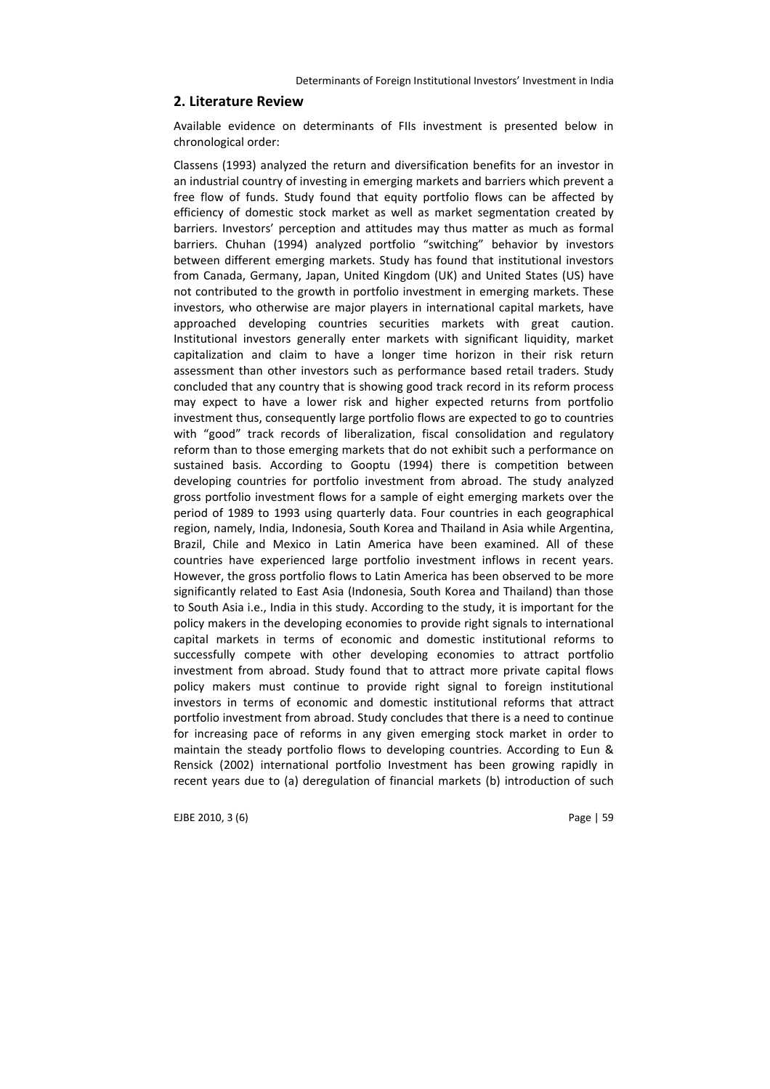#### 2. Literature Review

Available evidence on determinants of FIIs investment is presented below in chronological order:

Classens (1993) analyzed the return and diversification benefits for an investor in an industrial country of investing in emerging markets and barriers which prevent a free flow of funds. Study found that equity portfolio flows can be affected by efficiency of domestic stock market as well as market segmentation created by barriers. Investors' perception and attitudes may thus matter as much as formal barriers. Chuhan (1994) analyzed portfolio "switching" behavior by investors between different emerging markets. Study has found that institutional investors from Canada, Germany, Japan, United Kingdom (UK) and United States (US) have not contributed to the growth in portfolio investment in emerging markets. These investors, who otherwise are major players in international capital markets, have approached developing countries securities markets with great caution. Institutional investors generally enter markets with significant liquidity, market capitalization and claim to have a longer time horizon in their risk return assessment than other investors such as performance based retail traders. Study concluded that any country that is showing good track record in its reform process may expect to have a lower risk and higher expected returns from portfolio investment thus, consequently large portfolio flows are expected to go to countries with "good" track records of liberalization, fiscal consolidation and regulatory reform than to those emerging markets that do not exhibit such a performance on sustained basis. According to Gooptu (1994) there is competition between developing countries for portfolio investment from abroad. The study analyzed gross portfolio investment flows for a sample of eight emerging markets over the period of 1989 to 1993 using quarterly data. Four countries in each geographical region, namely, India, Indonesia, South Korea and Thailand in Asia while Argentina, Brazil, Chile and Mexico in Latin America have been examined. All of these countries have experienced large portfolio investment inflows in recent years. However, the gross portfolio flows to Latin America has been observed to be more significantly related to East Asia (Indonesia, South Korea and Thailand) than those to South Asia i.e., India in this study. According to the study, it is important for the policy makers in the developing economies to provide right signals to international capital markets in terms of economic and domestic institutional reforms to successfully compete with other developing economies to attract portfolio investment from abroad. Study found that to attract more private capital flows policy makers must continue to provide right signal to foreign institutional investors in terms of economic and domestic institutional reforms that attract portfolio investment from abroad. Study concludes that there is a need to continue for increasing pace of reforms in any given emerging stock market in order to maintain the steady portfolio flows to developing countries. According to Eun & Rensick (2002) international portfolio Investment has been growing rapidly in recent years due to (a) deregulation of financial markets (b) introduction of such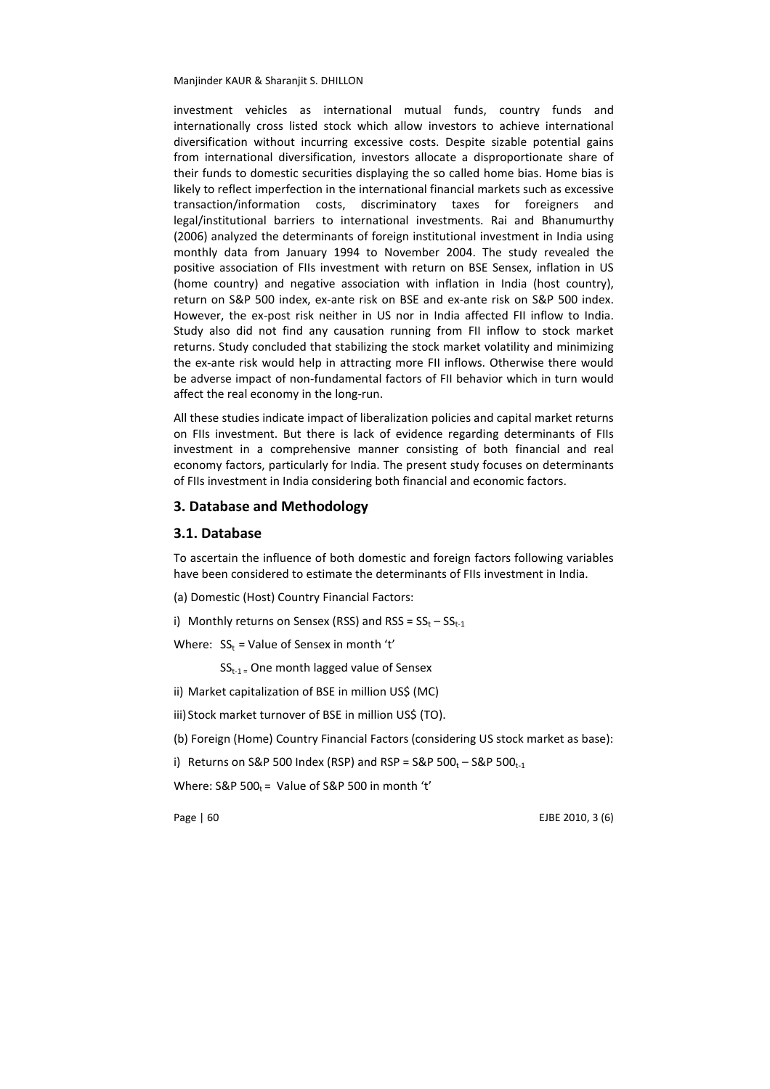investment vehicles as international mutual funds, country funds and internationally cross listed stock which allow investors to achieve international diversification without incurring excessive costs. Despite sizable potential gains from international diversification, investors allocate a disproportionate share of their funds to domestic securities displaying the so called home bias. Home bias is likely to reflect imperfection in the international financial markets such as excessive transaction/information costs, discriminatory taxes for foreigners and legal/institutional barriers to international investments. Rai and Bhanumurthy (2006) analyzed the determinants of foreign institutional investment in India using monthly data from January 1994 to November 2004. The study revealed the positive association of FIIs investment with return on BSE Sensex, inflation in US (home country) and negative association with inflation in India (host country), return on S&P 500 index, ex-ante risk on BSE and ex-ante risk on S&P 500 index. However, the ex-post risk neither in US nor in India affected FII inflow to India. Study also did not find any causation running from FII inflow to stock market returns. Study concluded that stabilizing the stock market volatility and minimizing the ex-ante risk would help in attracting more FII inflows. Otherwise there would be adverse impact of non-fundamental factors of FII behavior which in turn would affect the real economy in the long-run.

All these studies indicate impact of liberalization policies and capital market returns on FIIs investment. But there is lack of evidence regarding determinants of FIIs investment in a comprehensive manner consisting of both financial and real economy factors, particularly for India. The present study focuses on determinants of FIIs investment in India considering both financial and economic factors.

#### 3. Database and Methodology

#### 3.1. Database

To ascertain the influence of both domestic and foreign factors following variables have been considered to estimate the determinants of FIIs investment in India.

(a) Domestic (Host) Country Financial Factors:

i) Monthly returns on Sensex (RSS) and RSS =  $SS_t - SS_{t-1}$ 

Where:  $SS_t = Value$  of Sensex in month 't'

 $SS_{t-1}$  = One month lagged value of Sensex

- ii) Market capitalization of BSE in million US\$ (MC)
- iii) Stock market turnover of BSE in million US\$ (TO).

(b) Foreign (Home) Country Financial Factors (considering US stock market as base):

i) Returns on S&P 500 Index (RSP) and RSP = S&P 500<sub>t</sub> - S&P 500<sub>t-1</sub>

Where:  $S\&P 500_t =$  Value of  $S\&P 500$  in month 't'

Page | 60 EJBE 2010, 3 (6)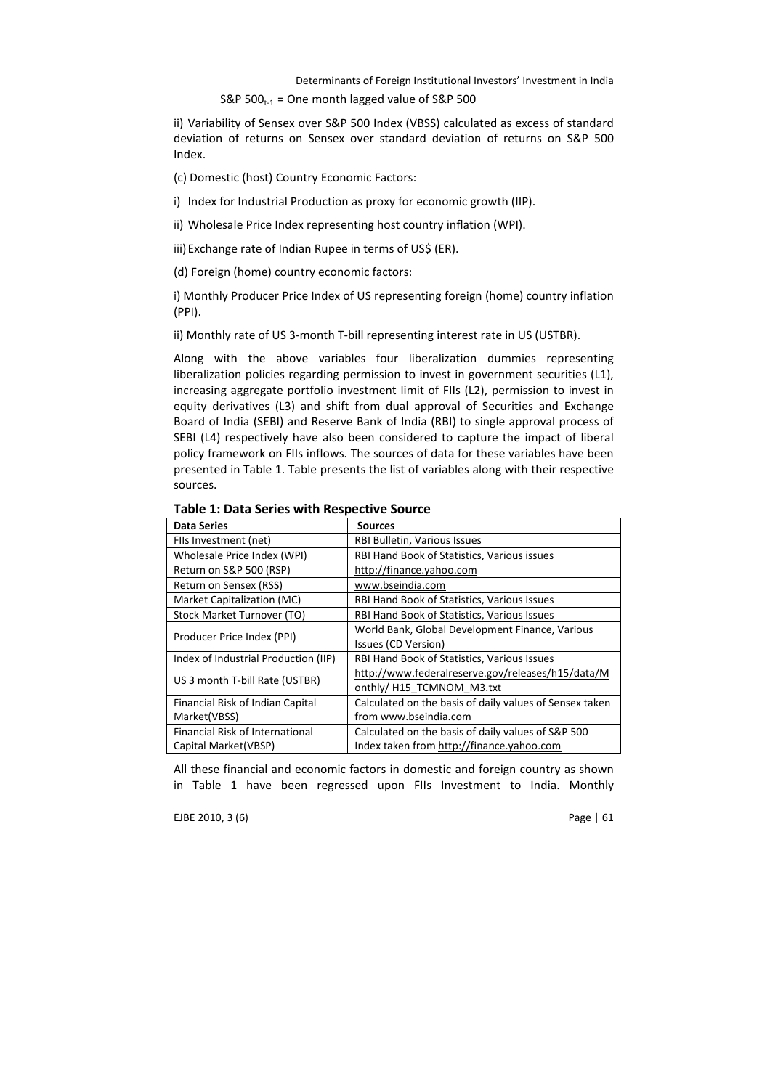#### S&P  $500_{t-1}$  = One month lagged value of S&P 500

ii) Variability of Sensex over S&P 500 Index (VBSS) calculated as excess of standard deviation of returns on Sensex over standard deviation of returns on S&P 500 Index.

(c) Domestic (host) Country Economic Factors:

i) Index for Industrial Production as proxy for economic growth (IIP).

ii) Wholesale Price Index representing host country inflation (WPI).

iii)Exchange rate of Indian Rupee in terms of US\$ (ER).

(d) Foreign (home) country economic factors:

i) Monthly Producer Price Index of US representing foreign (home) country inflation (PPI).

ii) Monthly rate of US 3-month T-bill representing interest rate in US (USTBR).

Along with the above variables four liberalization dummies representing liberalization policies regarding permission to invest in government securities (L1), increasing aggregate portfolio investment limit of FIIs (L2), permission to invest in equity derivatives (L3) and shift from dual approval of Securities and Exchange Board of India (SEBI) and Reserve Bank of India (RBI) to single approval process of SEBI (L4) respectively have also been considered to capture the impact of liberal policy framework on FIIs inflows. The sources of data for these variables have been presented in Table 1. Table presents the list of variables along with their respective sources.

| <b>Data Series</b>                     | <b>Sources</b>                                          |  |  |
|----------------------------------------|---------------------------------------------------------|--|--|
| Fils Investment (net)                  | RBI Bulletin, Various Issues                            |  |  |
| Wholesale Price Index (WPI)            | RBI Hand Book of Statistics, Various issues             |  |  |
| Return on S&P 500 (RSP)                | http://finance.yahoo.com                                |  |  |
| Return on Sensex (RSS)                 | www.bseindia.com                                        |  |  |
| Market Capitalization (MC)             | RBI Hand Book of Statistics, Various Issues             |  |  |
| Stock Market Turnover (TO)             | RBI Hand Book of Statistics, Various Issues             |  |  |
|                                        | World Bank, Global Development Finance, Various         |  |  |
| Producer Price Index (PPI)             | Issues (CD Version)                                     |  |  |
| Index of Industrial Production (IIP)   | RBI Hand Book of Statistics, Various Issues             |  |  |
| US 3 month T-bill Rate (USTBR)         | http://www.federalreserve.gov/releases/h15/data/M       |  |  |
|                                        | onthly/H15 TCMNOM M3.txt                                |  |  |
| Financial Risk of Indian Capital       | Calculated on the basis of daily values of Sensex taken |  |  |
| Market(VBSS)                           | from www.bseindia.com                                   |  |  |
| <b>Financial Risk of International</b> | Calculated on the basis of daily values of S&P 500      |  |  |
| Capital Market(VBSP)                   | Index taken from http://finance.yahoo.com               |  |  |

Table 1: Data Series with Respective Source

All these financial and economic factors in domestic and foreign country as shown in Table 1 have been regressed upon FIIs Investment to India. Monthly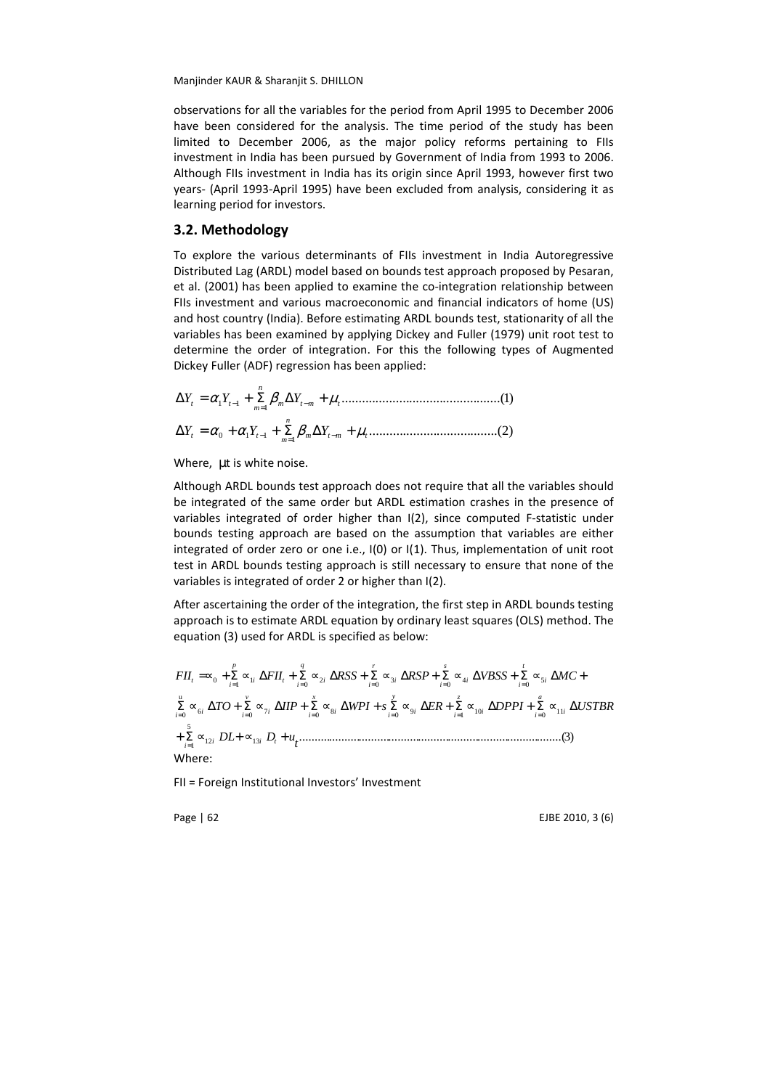observations for all the variables for the period from April 1995 to December 2006 have been considered for the analysis. The time period of the study has been limited to December 2006, as the major policy reforms pertaining to FIIs investment in India has been pursued by Government of India from 1993 to 2006. Although FIIs investment in India has its origin since April 1993, however first two years- (April 1993-April 1995) have been excluded from analysis, considering it as learning period for investors.

### 3.2. Methodology

To explore the various determinants of FIIs investment in India Autoregressive Distributed Lag (ARDL) model based on bounds test approach proposed by Pesaran, et al. (2001) has been applied to examine the co-integration relationship between FIIs investment and various macroeconomic and financial indicators of home (US) and host country (India). Before estimating ARDL bounds test, stationarity of all the variables has been examined by applying Dickey and Fuller (1979) unit root test to determine the order of integration. For this the following types of Augmented Dickey Fuller (ADF) regression has been applied:

...............................................( )1 1 1 1 *m t m t n m* ∆*Y<sup>t</sup>* = <sup>α</sup> *Y<sup>t</sup>* + Σ β ∆*Y* <sup>−</sup> + <sup>µ</sup> = − ......................................( )2 1 0 1 1 *m t m t m* ∆*Y<sup>t</sup>* = <sup>α</sup> +<sup>α</sup> *Y<sup>t</sup>* + Σ β ∆*Y* <sup>−</sup> + <sup>µ</sup> = − *n*

Where, µt is white noise.

Although ARDL bounds test approach does not require that all the variables should be integrated of the same order but ARDL estimation crashes in the presence of variables integrated of order higher than I(2), since computed F-statistic under bounds testing approach are based on the assumption that variables are either integrated of order zero or one i.e., I(0) or I(1). Thus, implementation of unit root test in ARDL bounds testing approach is still necessary to ensure that none of the variables is integrated of order 2 or higher than I(2).

After ascertaining the order of the integration, the first step in ARDL bounds testing approach is to estimate ARDL equation by ordinary least squares (OLS) method. The equation (3) used for ARDL is specified as below:

<sup>12</sup> <sup>13</sup> ........................................................................................( )3 5 1 <sup>11</sup> <sup>0</sup> <sup>10</sup> <sup>1</sup> 9 0 8 0 7 0 6 u 0 5 0 4 0 3 0 2 0 1 1 0 *t DL D u TO IIP WPI s ER DPPI USTBR FII FII RSS RSP VBSS MC i i t i i a i i z i i y i i x i i v i i i i t i i s i i r i i q i i t p i t* + Σ ∝ + ∝ + Σ ∝ ∆ + Σ ∝ ∆ + Σ ∝ ∆ + Σ ∝ ∆ + Σ ∝ ∆ + Σ ∝ ∆ =∝ + Σ ∝ ∆ + Σ ∝ ∆ + Σ ∝ ∆ + Σ ∝ ∆ + Σ ∝ ∆ + = = = = = = = = = = = = Where:

FII = Foreign Institutional Investors' Investment

Page | 62 EJBE 2010, 3 (6)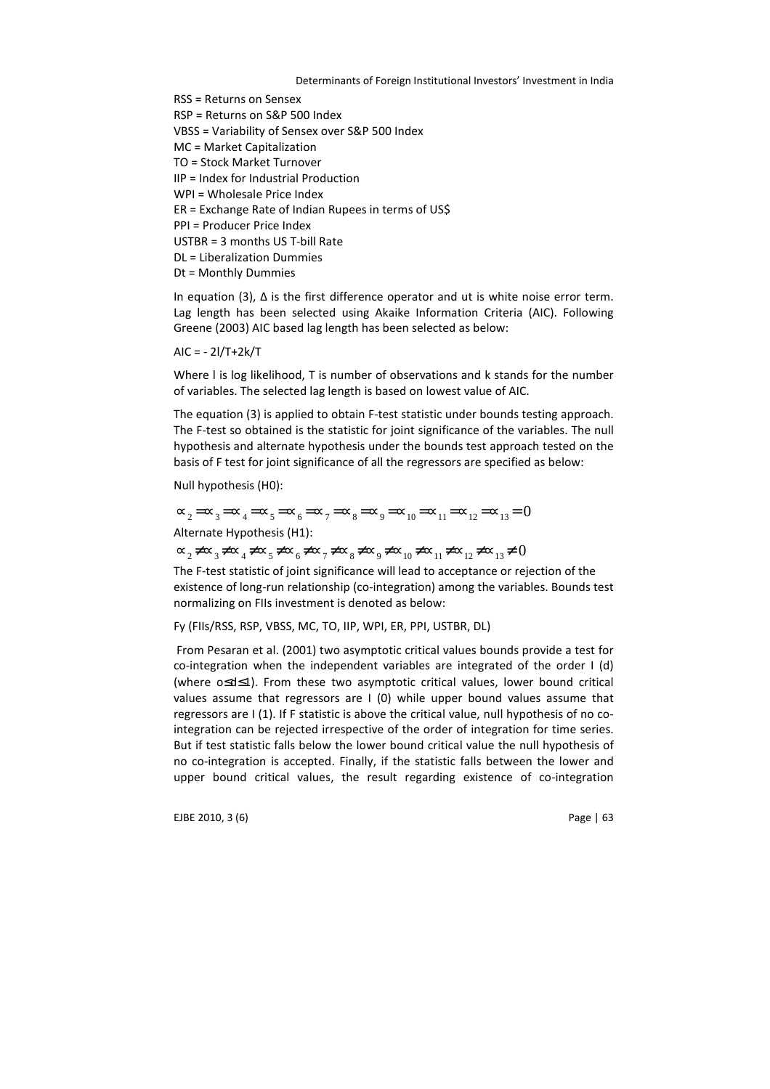RSS = Returns on Sensex RSP = Returns on S&P 500 Index VBSS = Variability of Sensex over S&P 500 Index MC = Market Capitalization TO = Stock Market Turnover IIP = Index for Industrial Production WPI = Wholesale Price Index ER = Exchange Rate of Indian Rupees in terms of US\$ PPI = Producer Price Index USTBR = 3 months US T-bill Rate DL = Liberalization Dummies Dt = Monthly Dummies

In equation (3), ∆ is the first difference operator and ut is white noise error term. Lag length has been selected using Akaike Information Criteria (AIC). Following Greene (2003) AIC based lag length has been selected as below:

 $AIC = -2I/T + 2k/T$ 

Where l is log likelihood, T is number of observations and k stands for the number of variables. The selected lag length is based on lowest value of AIC.

The equation (3) is applied to obtain F-test statistic under bounds testing approach. The F-test so obtained is the statistic for joint significance of the variables. The null hypothesis and alternate hypothesis under the bounds test approach tested on the basis of F test for joint significance of all the regressors are specified as below:

Null hypothesis (H0):

 $\infty_2 = \infty_3 = \infty_4 = \infty_5 = \infty_6 = \infty_7 = \infty_8 = \infty_9 = \infty_{10} = \infty_{11} = \infty_{12} = \infty_{13} = 0$ Alternate Hypothesis (H1):

 $\alpha_2 \neq \alpha_3 \neq \alpha_4 \neq \alpha_5 \neq \alpha_6 \neq \alpha_7 \neq \alpha_8 \neq \alpha_9 \neq \alpha_{10} \neq \alpha_{11} \neq \alpha_{12} \neq \alpha_{13} \neq 0$ 

The F-test statistic of joint significance will lead to acceptance or rejection of the existence of long-run relationship (co-integration) among the variables. Bounds test normalizing on FIIs investment is denoted as below:

Fy (FIIs/RSS, RSP, VBSS, MC, TO, IIP, WPI, ER, PPI, USTBR, DL)

 From Pesaran et al. (2001) two asymptotic critical values bounds provide a test for co-integration when the independent variables are integrated of the order I (d) (where o≤d≤1). From these two asymptotic critical values, lower bound critical values assume that regressors are I (0) while upper bound values assume that regressors are I (1). If F statistic is above the critical value, null hypothesis of no cointegration can be rejected irrespective of the order of integration for time series. But if test statistic falls below the lower bound critical value the null hypothesis of no co-integration is accepted. Finally, if the statistic falls between the lower and upper bound critical values, the result regarding existence of co-integration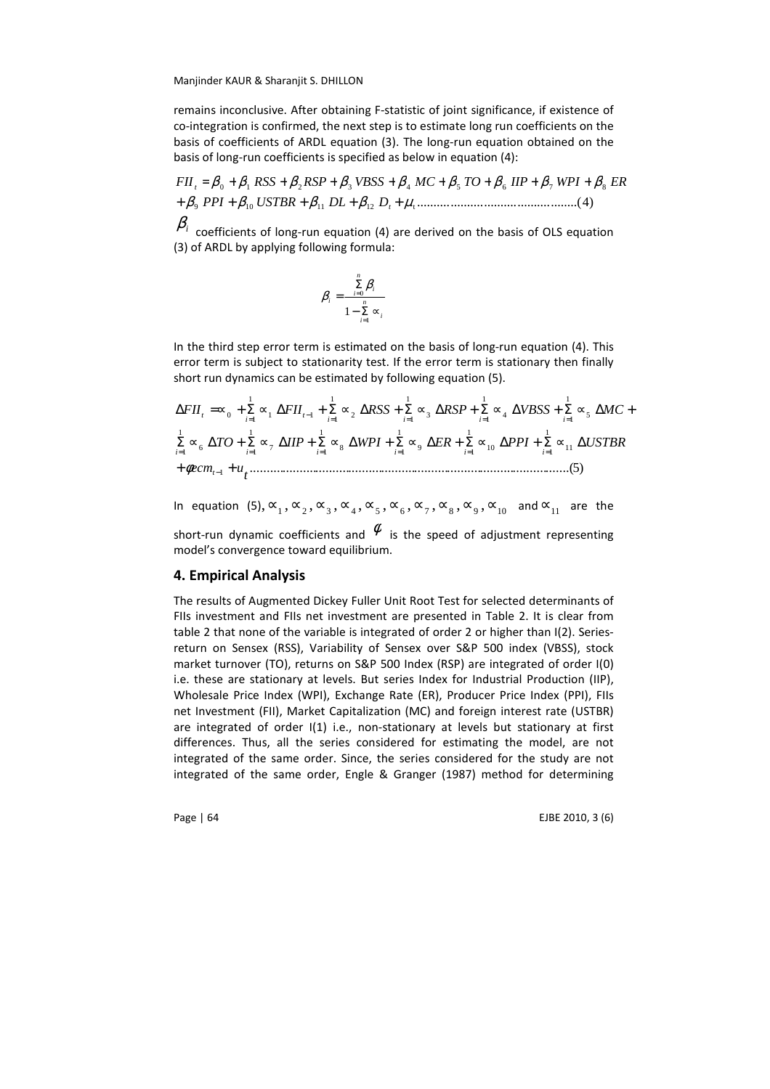remains inconclusive. After obtaining F-statistic of joint significance, if existence of co-integration is confirmed, the next step is to estimate long run coefficients on the basis of coefficients of ARDL equation (3). The long-run equation obtained on the basis of long-run coefficients is specified as below in equation (4):

9 10 11 12 t ................................................( )4 β β β β µ + + + + + *t PPI USTBR DL D*  $FH_{t} = \beta_{0} + \beta_{1} RSS + \beta_{2} RSP + \beta_{3} VBSS + \beta_{4} MC + \beta_{5} TO + \beta_{6} IIP + \beta_{7} WPI + \beta_{8} ER$ 

 $\beta_i$  coefficients of long-run equation (4) are derived on the basis of OLS equation (3) of ARDL by applying following formula:

$$
\beta_i = \frac{\sum\limits_{i=0}^n \beta_i}{1 - \sum\limits_{i=1}^n \infty_i}
$$

In the third step error term is estimated on the basis of long-run equation (4). This error term is subject to stationarity test. If the error term is stationary then finally short run dynamics can be estimated by following equation (5).

$$
\Delta FII_t = \infty_0 + \sum_{i=1}^1 \infty_1 \Delta FII_{t-1} + \sum_{i=1}^1 \infty_2 \Delta RSS + \sum_{i=1}^1 \infty_3 \Delta RSP + \sum_{i=1}^1 \infty_4 \Delta VBSS + \sum_{i=1}^1 \infty_5 \Delta MC + \sum_{i=1}^1 \infty_6 \Delta TO + \sum_{i=1}^1 \infty_7 \Delta HIP + \sum_{i=1}^1 \infty_8 \Delta WPI + \sum_{i=1}^1 \infty_9 \Delta ER + \sum_{i=1}^1 \infty_{10} \Delta PPI + \sum_{i=1}^1 \infty_{11} \Delta USTBR + \phi e cm_{t-1} + u_t
$$
.................(5)

In equation  $(5), \infty_1, \infty_2, \infty_3, \infty_4, \infty_5, \infty_6, \infty_7, \infty_8, \infty_9, \infty_{10}$  and  $\infty_{11}$  are the short-run dynamic coefficients and  $\stackrel{\phi}{\sim}$  is the speed of adjustment representing model's convergence toward equilibrium.

#### 4. Empirical Analysis

The results of Augmented Dickey Fuller Unit Root Test for selected determinants of FIIs investment and FIIs net investment are presented in Table 2. It is clear from table 2 that none of the variable is integrated of order 2 or higher than I(2). Seriesreturn on Sensex (RSS), Variability of Sensex over S&P 500 index (VBSS), stock market turnover (TO), returns on S&P 500 Index (RSP) are integrated of order I(0) i.e. these are stationary at levels. But series Index for Industrial Production (IIP), Wholesale Price Index (WPI), Exchange Rate (ER), Producer Price Index (PPI), FIIs net Investment (FII), Market Capitalization (MC) and foreign interest rate (USTBR) are integrated of order I(1) i.e., non-stationary at levels but stationary at first differences. Thus, all the series considered for estimating the model, are not integrated of the same order. Since, the series considered for the study are not integrated of the same order, Engle & Granger (1987) method for determining

Page | 64 EJBE 2010, 3 (6)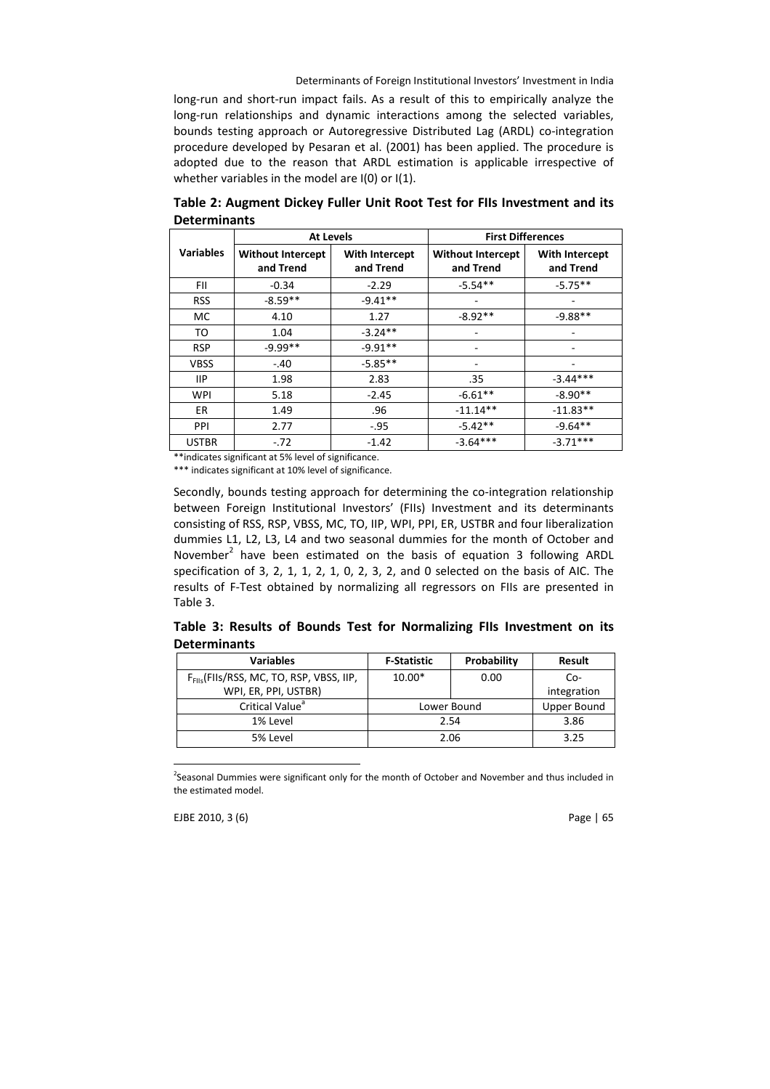long-run and short-run impact fails. As a result of this to empirically analyze the long-run relationships and dynamic interactions among the selected variables, bounds testing approach or Autoregressive Distributed Lag (ARDL) co-integration procedure developed by Pesaran et al. (2001) has been applied. The procedure is adopted due to the reason that ARDL estimation is applicable irrespective of whether variables in the model are I(0) or I(1).

|                  | <b>At Levels</b>                      |                                    | <b>First Differences</b>              |                                    |  |
|------------------|---------------------------------------|------------------------------------|---------------------------------------|------------------------------------|--|
| <b>Variables</b> | <b>Without Intercept</b><br>and Trend | <b>With Intercept</b><br>and Trend | <b>Without Intercept</b><br>and Trend | <b>With Intercept</b><br>and Trend |  |
| FII.             | $-0.34$                               | $-2.29$                            | $-5.54**$                             | $-5.75**$                          |  |
| <b>RSS</b>       | $-8.59**$                             | $-9.41**$                          |                                       |                                    |  |
| MC               | 4.10                                  | 1.27                               | $-8.92**$                             | $-9.88**$                          |  |
| TO               | 1.04                                  | $-3.24**$                          |                                       |                                    |  |
| <b>RSP</b>       | $-9.99**$                             | $-9.91**$                          |                                       |                                    |  |
| <b>VBSS</b>      | $-.40$                                | $-5.85**$                          |                                       |                                    |  |
| 11P              | 1.98                                  | 2.83                               | .35                                   | $-3.44***$                         |  |
| <b>WPI</b>       | 5.18                                  | $-2.45$                            | $-6.61**$                             | $-8.90**$                          |  |
| ER               | 1.49                                  | .96                                | $-11.14**$                            | $-11.83**$                         |  |
| PPI              | 2.77                                  | $-.95$                             | $-5.42**$                             | $-9.64**$                          |  |
| <b>USTBR</b>     | $-.72$                                | $-1.42$                            | $-3.64***$                            | $-3.71***$                         |  |

Table 2: Augment Dickey Fuller Unit Root Test for FIIs Investment and its **Determinants** 

\*\*indicates significant at 5% level of significance.

\*\*\* indicates significant at 10% level of significance.

Secondly, bounds testing approach for determining the co-integration relationship between Foreign Institutional Investors' (FIIs) Investment and its determinants consisting of RSS, RSP, VBSS, MC, TO, IIP, WPI, PPI, ER, USTBR and four liberalization dummies L1, L2, L3, L4 and two seasonal dummies for the month of October and November<sup>2</sup> have been estimated on the basis of equation 3 following ARDL specification of 3, 2, 1, 1, 2, 1, 0, 2, 3, 2, and 0 selected on the basis of AIC. The results of F-Test obtained by normalizing all regressors on FIIs are presented in Table 3.

|                     |  |  |  | Table 3: Results of Bounds Test for Normalizing FIIs Investment on its |  |  |
|---------------------|--|--|--|------------------------------------------------------------------------|--|--|
| <b>Determinants</b> |  |  |  |                                                                        |  |  |

| <b>Variables</b>                                     | <b>F-Statistic</b> | Probability        | Result      |
|------------------------------------------------------|--------------------|--------------------|-------------|
| $F_{\text{Fils}}$ (FIIs/RSS, MC, TO, RSP, VBSS, IIP, | $10.00*$           | 0.00               | $Co-$       |
| WPI, ER, PPI, USTBR)                                 |                    |                    | integration |
| Critical Value <sup>a</sup>                          | Lower Bound        | <b>Upper Bound</b> |             |
| 1% Level                                             | 2.54               | 3.86               |             |
| 5% Level                                             | 2.06               | 3.25               |             |

<sup>&</sup>lt;sup>2</sup>Seasonal Dummies were significant only for the month of October and November and thus included in the estimated model.

EJBE 2010, 3 (6) Page | 65

 $\overline{a}$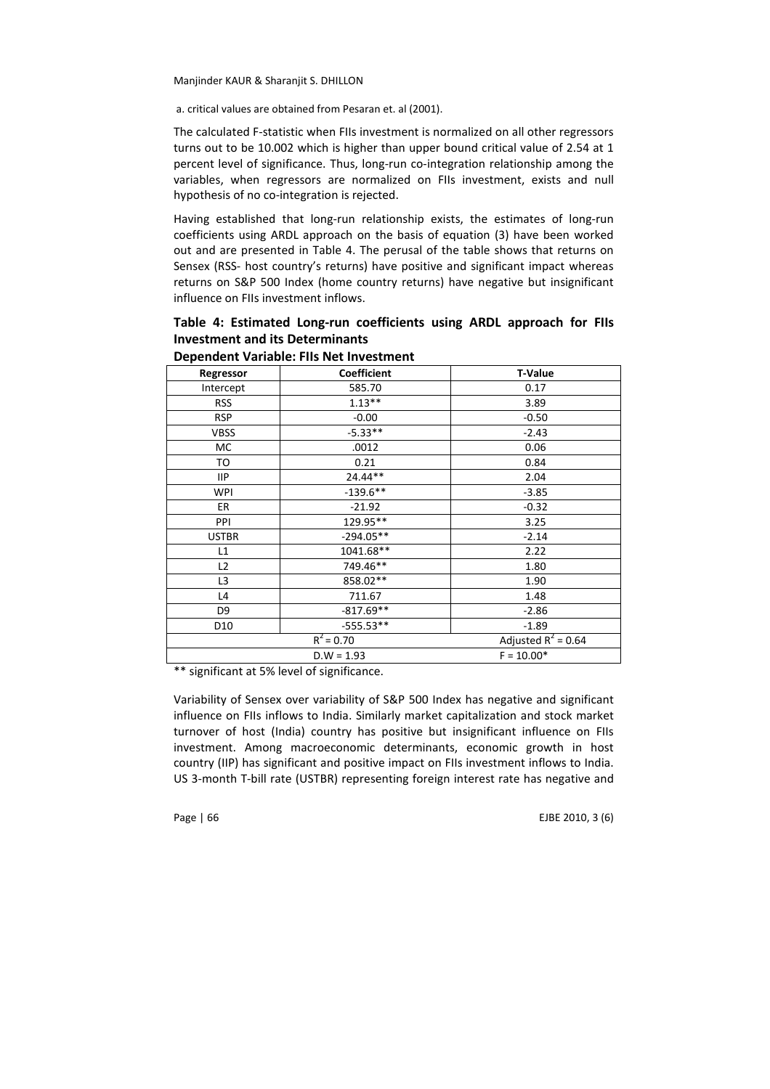a. critical values are obtained from Pesaran et. al (2001).

The calculated F-statistic when FIIs investment is normalized on all other regressors turns out to be 10.002 which is higher than upper bound critical value of 2.54 at 1 percent level of significance. Thus, long-run co-integration relationship among the variables, when regressors are normalized on FIIs investment, exists and null hypothesis of no co-integration is rejected.

Having established that long-run relationship exists, the estimates of long-run coefficients using ARDL approach on the basis of equation (3) have been worked out and are presented in Table 4. The perusal of the table shows that returns on Sensex (RSS- host country's returns) have positive and significant impact whereas returns on S&P 500 Index (home country returns) have negative but insignificant influence on FIIs investment inflows.

Table 4: Estimated Long-run coefficients using ARDL approach for FIIs Investment and its Determinants

| Regressor       | <b>Coefficient</b>      | <b>T-Value</b>        |  |  |
|-----------------|-------------------------|-----------------------|--|--|
| Intercept       | 585.70                  | 0.17                  |  |  |
| <b>RSS</b>      | $1.13**$                | 3.89                  |  |  |
| <b>RSP</b>      | $-0.00$                 | $-0.50$               |  |  |
| <b>VBSS</b>     | $-5.33**$               | $-2.43$               |  |  |
| МC              | .0012                   | 0.06                  |  |  |
| то              | 0.21                    | 0.84                  |  |  |
| <b>IIP</b>      | 24.44**                 | 2.04                  |  |  |
| WPI             | $-139.6**$              | $-3.85$               |  |  |
| ER.             | $-21.92$                | $-0.32$               |  |  |
| PPI             | 129.95**                | 3.25                  |  |  |
| <b>USTBR</b>    | $-294.05**$             | $-2.14$               |  |  |
| L1              | 1041.68**               | 2.22                  |  |  |
| L2              | 749.46**                | 1.80                  |  |  |
| L3              | 858.02**                | 1.90                  |  |  |
| L4              | 711.67                  | 1.48                  |  |  |
| D9              | $-817.69**$             | $-2.86$               |  |  |
| D <sub>10</sub> | $-555.53**$             | $-1.89$               |  |  |
|                 | $\overline{R}^2$ = 0.70 | Adjusted $R^2$ = 0.64 |  |  |
|                 | $F = 10.00*$            |                       |  |  |

# Dependent Variable: FIIs Net Investment

\*\* significant at 5% level of significance.

Variability of Sensex over variability of S&P 500 Index has negative and significant influence on FIIs inflows to India. Similarly market capitalization and stock market turnover of host (India) country has positive but insignificant influence on FIIs investment. Among macroeconomic determinants, economic growth in host country (IIP) has significant and positive impact on FIIs investment inflows to India. US 3-month T-bill rate (USTBR) representing foreign interest rate has negative and

Page | 66 **EJBE 2010, 3** (6)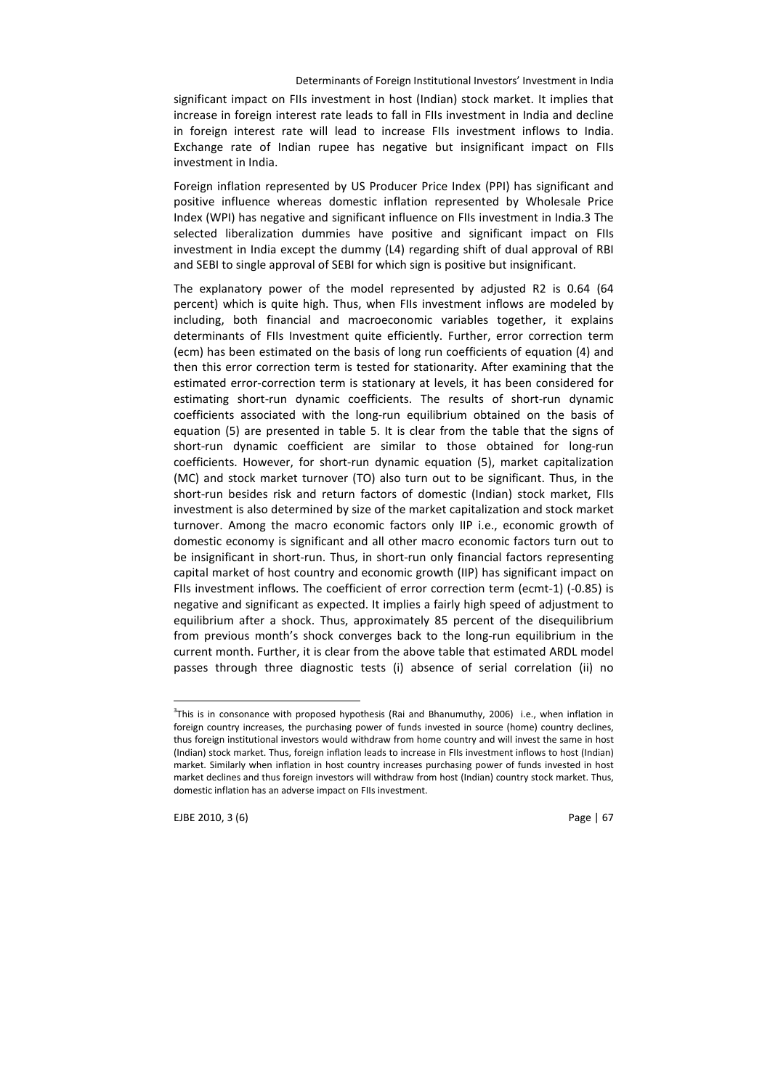significant impact on FIIs investment in host (Indian) stock market. It implies that increase in foreign interest rate leads to fall in FIIs investment in India and decline in foreign interest rate will lead to increase FIIs investment inflows to India. Exchange rate of Indian rupee has negative but insignificant impact on FIIs investment in India.

Foreign inflation represented by US Producer Price Index (PPI) has significant and positive influence whereas domestic inflation represented by Wholesale Price Index (WPI) has negative and significant influence on FIIs investment in India.3 The selected liberalization dummies have positive and significant impact on FIIs investment in India except the dummy (L4) regarding shift of dual approval of RBI and SEBI to single approval of SEBI for which sign is positive but insignificant.

The explanatory power of the model represented by adjusted R2 is 0.64 (64 percent) which is quite high. Thus, when FIIs investment inflows are modeled by including, both financial and macroeconomic variables together, it explains determinants of FIIs Investment quite efficiently. Further, error correction term (ecm) has been estimated on the basis of long run coefficients of equation (4) and then this error correction term is tested for stationarity. After examining that the estimated error-correction term is stationary at levels, it has been considered for estimating short-run dynamic coefficients. The results of short-run dynamic coefficients associated with the long-run equilibrium obtained on the basis of equation (5) are presented in table 5. It is clear from the table that the signs of short-run dynamic coefficient are similar to those obtained for long-run coefficients. However, for short-run dynamic equation (5), market capitalization (MC) and stock market turnover (TO) also turn out to be significant. Thus, in the short-run besides risk and return factors of domestic (Indian) stock market, FIIs investment is also determined by size of the market capitalization and stock market turnover. Among the macro economic factors only IIP i.e., economic growth of domestic economy is significant and all other macro economic factors turn out to be insignificant in short-run. Thus, in short-run only financial factors representing capital market of host country and economic growth (IIP) has significant impact on FIIs investment inflows. The coefficient of error correction term (ecmt-1) (-0.85) is negative and significant as expected. It implies a fairly high speed of adjustment to equilibrium after a shock. Thus, approximately 85 percent of the disequilibrium from previous month's shock converges back to the long-run equilibrium in the current month. Further, it is clear from the above table that estimated ARDL model passes through three diagnostic tests (i) absence of serial correlation (ii) no

EJBE 2010, 3 (6) Page | 67

 $\overline{a}$ 

 $3$ This is in consonance with proposed hypothesis (Rai and Bhanumuthy, 2006) i.e., when inflation in foreign country increases, the purchasing power of funds invested in source (home) country declines, thus foreign institutional investors would withdraw from home country and will invest the same in host (Indian) stock market. Thus, foreign inflation leads to increase in FIIs investment inflows to host (Indian) market. Similarly when inflation in host country increases purchasing power of funds invested in host market declines and thus foreign investors will withdraw from host (Indian) country stock market. Thus, domestic inflation has an adverse impact on FIIs investment.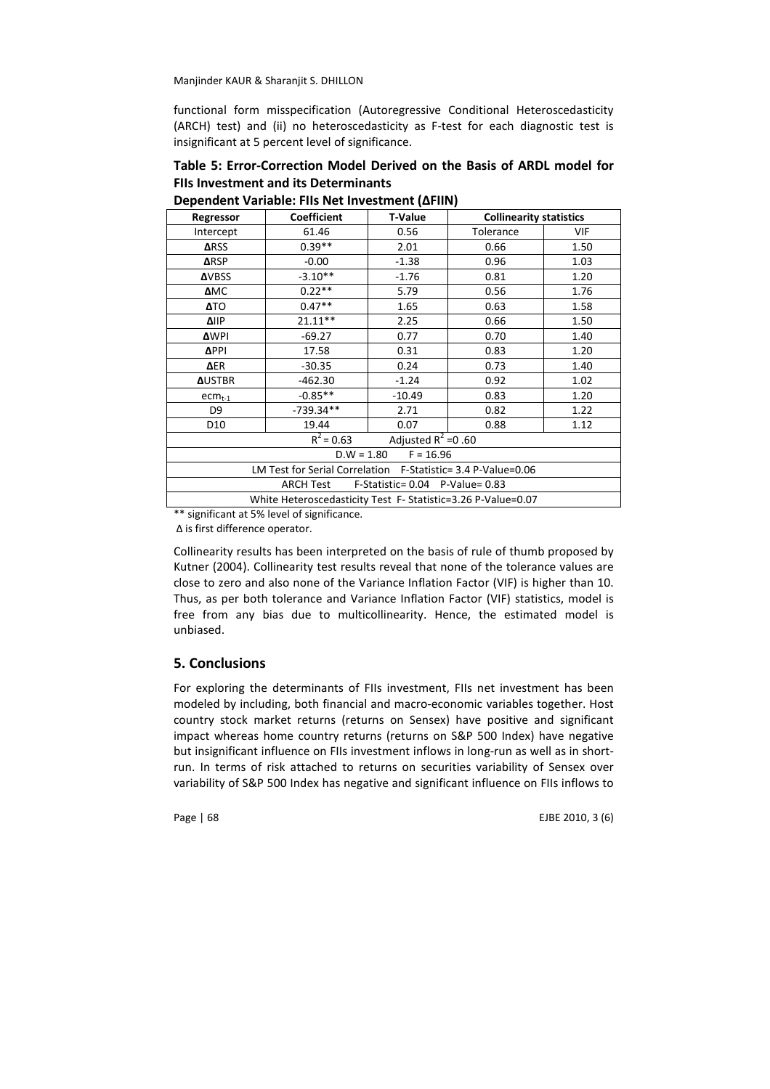functional form misspecification (Autoregressive Conditional Heteroscedasticity (ARCH) test) and (ii) no heteroscedasticity as F-test for each diagnostic test is insignificant at 5 percent level of significance.

# Table 5: Error-Correction Model Derived on the Basis of ARDL model for FIIs Investment and its Determinants

| Regressor                                                    | <b>Coefficient</b> | <b>T-Value</b> | <b>Collinearity statistics</b> |      |  |  |
|--------------------------------------------------------------|--------------------|----------------|--------------------------------|------|--|--|
| Intercept                                                    | 61.46              | 0.56           | Tolerance                      | VIF  |  |  |
| <b>ARSS</b>                                                  | $0.39**$           | 2.01           | 0.66                           | 1.50 |  |  |
| <b>ARSP</b>                                                  | $-0.00$            | $-1.38$        | 0.96                           | 1.03 |  |  |
| <b>AVBSS</b>                                                 | $-3.10**$          | $-1.76$        | 0.81                           | 1.20 |  |  |
| <b>AMC</b>                                                   | $0.22**$           | 5.79           | 0.56                           | 1.76 |  |  |
| ΔTO                                                          | $0.47**$           | 1.65           | 0.63                           | 1.58 |  |  |
| <b>ΔIIP</b>                                                  | $21.11***$         | 2.25           | 0.66                           | 1.50 |  |  |
| <b>AWPI</b>                                                  | $-69.27$           | 0.77           | 0.70                           | 1.40 |  |  |
| <b>APPI</b>                                                  | 17.58              | 0.31           | 0.83                           | 1.20 |  |  |
| ΔER                                                          | $-30.35$           | 0.24           | 0.73                           | 1.40 |  |  |
| <b>AUSTBR</b><br>$-462.30$<br>$-1.24$<br>0.92                |                    |                |                                |      |  |  |
| $-0.85**$<br>1.20<br>0.83<br>$-10.49$<br>$ecm_{t-1}$         |                    |                |                                |      |  |  |
| D9                                                           | $-739.34**$        | 2.71           | 0.82                           | 1.22 |  |  |
| D <sub>10</sub>                                              | 19.44              | 0.07           | 0.88                           | 1.12 |  |  |
| Adjusted $R^2 = 0.60$<br>$\overline{R}^2$ = 0.63             |                    |                |                                |      |  |  |
| $D.W = 1.80$ $F = 16.96$                                     |                    |                |                                |      |  |  |
| LM Test for Serial Correlation F-Statistic= 3.4 P-Value=0.06 |                    |                |                                |      |  |  |
| ARCH Test<br>F-Statistic= $0.04$ P-Value= 0.83               |                    |                |                                |      |  |  |
| White Heteroscedasticity Test F- Statistic=3.26 P-Value=0.07 |                    |                |                                |      |  |  |

Dependent Variable: FIIs Net Investment (∆FIIN)

\*\* significant at 5% level of significance.

∆ is first difference operator.

Collinearity results has been interpreted on the basis of rule of thumb proposed by Kutner (2004). Collinearity test results reveal that none of the tolerance values are close to zero and also none of the Variance Inflation Factor (VIF) is higher than 10. Thus, as per both tolerance and Variance Inflation Factor (VIF) statistics, model is free from any bias due to multicollinearity. Hence, the estimated model is unbiased.

### 5. Conclusions

For exploring the determinants of FIIs investment, FIIs net investment has been modeled by including, both financial and macro-economic variables together. Host country stock market returns (returns on Sensex) have positive and significant impact whereas home country returns (returns on S&P 500 Index) have negative but insignificant influence on FIIs investment inflows in long-run as well as in shortrun. In terms of risk attached to returns on securities variability of Sensex over variability of S&P 500 Index has negative and significant influence on FIIs inflows to

Page | 68 EJBE 2010, 3 (6)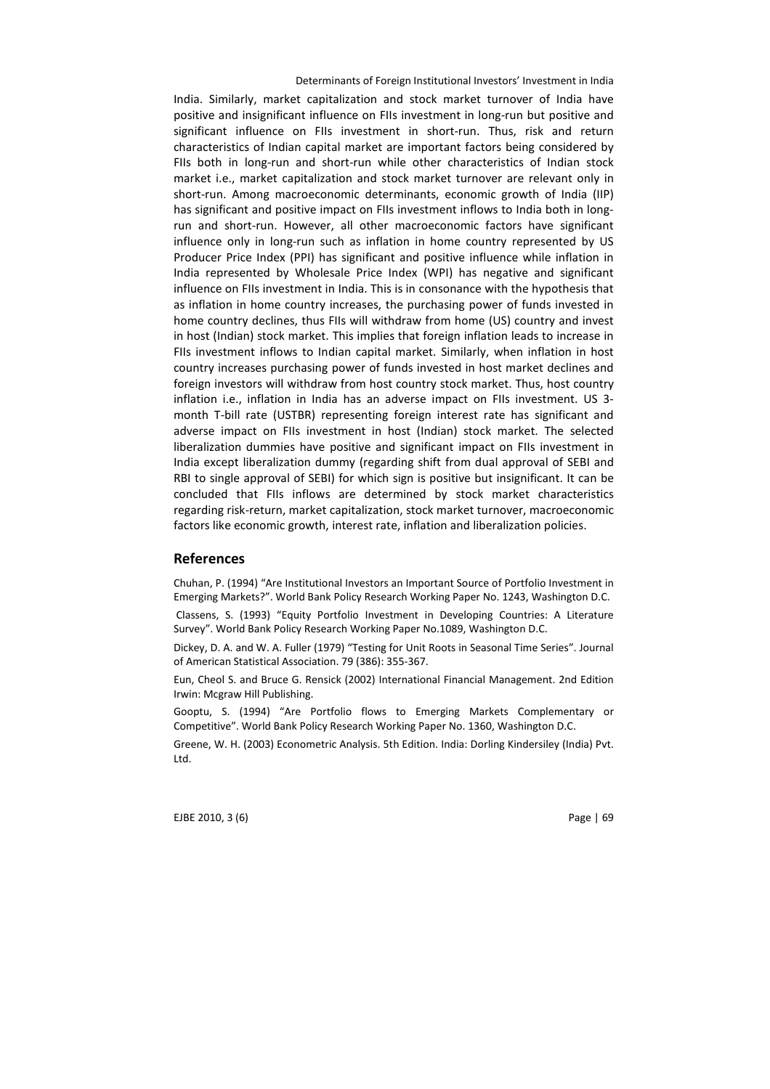India. Similarly, market capitalization and stock market turnover of India have positive and insignificant influence on FIIs investment in long-run but positive and significant influence on FIIs investment in short-run. Thus, risk and return characteristics of Indian capital market are important factors being considered by FIIs both in long-run and short-run while other characteristics of Indian stock market i.e., market capitalization and stock market turnover are relevant only in short-run. Among macroeconomic determinants, economic growth of India (IIP) has significant and positive impact on FIIs investment inflows to India both in longrun and short-run. However, all other macroeconomic factors have significant influence only in long-run such as inflation in home country represented by US Producer Price Index (PPI) has significant and positive influence while inflation in India represented by Wholesale Price Index (WPI) has negative and significant influence on FIIs investment in India. This is in consonance with the hypothesis that as inflation in home country increases, the purchasing power of funds invested in home country declines, thus FIIs will withdraw from home (US) country and invest in host (Indian) stock market. This implies that foreign inflation leads to increase in FIIs investment inflows to Indian capital market. Similarly, when inflation in host country increases purchasing power of funds invested in host market declines and foreign investors will withdraw from host country stock market. Thus, host country inflation i.e., inflation in India has an adverse impact on FIIs investment. US 3 month T-bill rate (USTBR) representing foreign interest rate has significant and adverse impact on FIIs investment in host (Indian) stock market. The selected liberalization dummies have positive and significant impact on FIIs investment in India except liberalization dummy (regarding shift from dual approval of SEBI and RBI to single approval of SEBI) for which sign is positive but insignificant. It can be concluded that FIIs inflows are determined by stock market characteristics regarding risk-return, market capitalization, stock market turnover, macroeconomic factors like economic growth, interest rate, inflation and liberalization policies.

#### References

Chuhan, P. (1994) "Are Institutional Investors an Important Source of Portfolio Investment in Emerging Markets?". World Bank Policy Research Working Paper No. 1243, Washington D.C.

 Classens, S. (1993) "Equity Portfolio Investment in Developing Countries: A Literature Survey". World Bank Policy Research Working Paper No.1089, Washington D.C.

Dickey, D. A. and W. A. Fuller (1979) "Testing for Unit Roots in Seasonal Time Series". Journal of American Statistical Association. 79 (386): 355-367.

Eun, Cheol S. and Bruce G. Rensick (2002) International Financial Management. 2nd Edition Irwin: Mcgraw Hill Publishing.

Gooptu, S. (1994) "Are Portfolio flows to Emerging Markets Complementary or Competitive". World Bank Policy Research Working Paper No. 1360, Washington D.C.

Greene, W. H. (2003) Econometric Analysis. 5th Edition. India: Dorling Kindersiley (India) Pvt. Ltd.